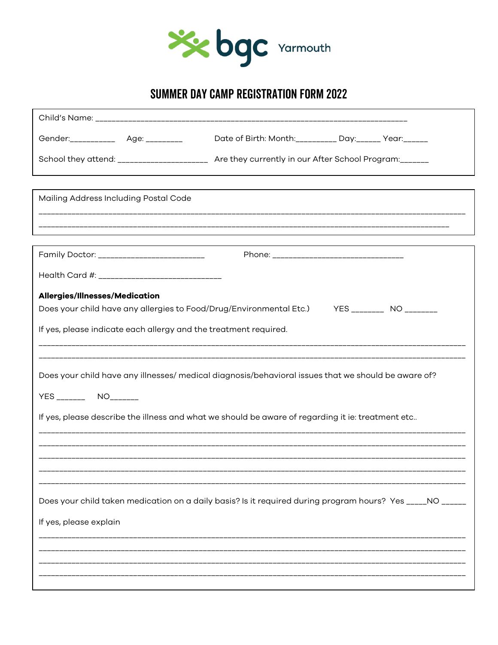

# SUMMER DAY CAMP REGISTRATION FORM 2022

| Gender:_____________ Age: _________                                                                                                                                                               | Date of Birth: Month:_________ Day:______ Year:______                                                     |  |  |
|---------------------------------------------------------------------------------------------------------------------------------------------------------------------------------------------------|-----------------------------------------------------------------------------------------------------------|--|--|
|                                                                                                                                                                                                   | School they attend: ____________________ Are they currently in our After School Program:______            |  |  |
| Mailing Address Including Postal Code                                                                                                                                                             |                                                                                                           |  |  |
|                                                                                                                                                                                                   |                                                                                                           |  |  |
| Family Doctor: ___________________________                                                                                                                                                        | Phone: ___________________________________                                                                |  |  |
|                                                                                                                                                                                                   |                                                                                                           |  |  |
| Allergies/Illnesses/Medication<br>Does your child have any allergies to Food/Drug/Environmental Etc.) YES ________ NO _______<br>If yes, please indicate each allergy and the treatment required. |                                                                                                           |  |  |
| Does your child have any illnesses/ medical diagnosis/behavioral issues that we should be aware of?<br>YES ________ NO_______                                                                     |                                                                                                           |  |  |
| If yes, please describe the illness and what we should be aware of regarding it ie: treatment etc                                                                                                 |                                                                                                           |  |  |
|                                                                                                                                                                                                   |                                                                                                           |  |  |
|                                                                                                                                                                                                   | Does your child taken medication on a daily basis? Is it required during program hours? Yes _____NO _____ |  |  |
| If yes, please explain                                                                                                                                                                            |                                                                                                           |  |  |
|                                                                                                                                                                                                   |                                                                                                           |  |  |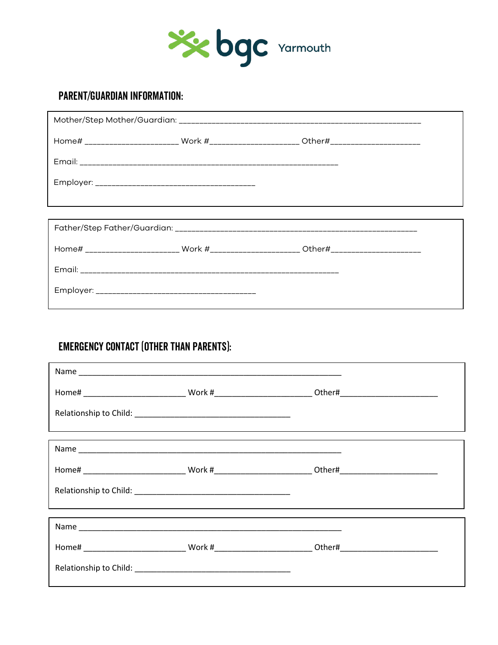

# **PARENT/GUARDIAN INFORMATION:**

|  | Home# _______________________ Work #______________________ Other#_____________________ |
|--|----------------------------------------------------------------------------------------|
|  |                                                                                        |
|  |                                                                                        |
|  |                                                                                        |
|  |                                                                                        |
|  |                                                                                        |
|  | Home# _______________________ Work #______________________ Other#____________________  |
|  |                                                                                        |
|  |                                                                                        |
|  |                                                                                        |

# **EMERGENCY CONTACT (OTHER THAN PARENTS):**

r

|  | ,我们也不会有什么?""我们的人,我们也不会有什么?""我们的人,我们也不会有什么?""我们的人,我们也不会有什么?""我们的人,我们也不会有什么?""我们的人 |  |
|--|----------------------------------------------------------------------------------|--|
|  |                                                                                  |  |
|  |                                                                                  |  |
|  |                                                                                  |  |
|  |                                                                                  |  |

٦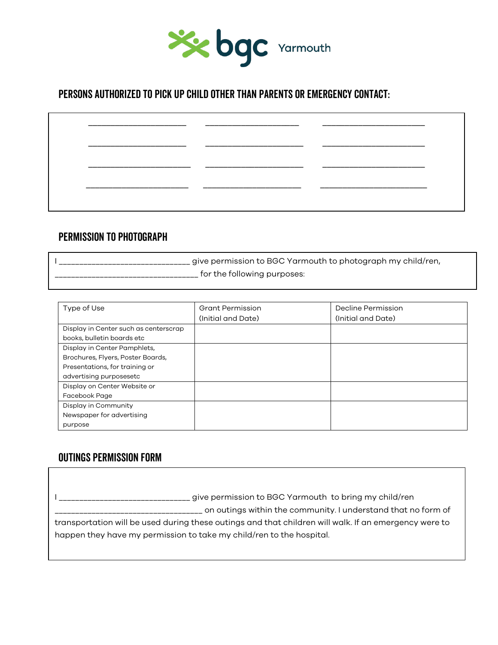

## Persons Authorized to pick up child other than Parents or Emergency Contact:

#### Permission to Photograph

I \_\_\_\_\_\_\_\_\_\_\_\_\_\_\_\_\_\_\_\_\_\_\_\_\_\_\_\_\_\_\_\_\_\_\_ give permission to BGC Yarmouth to photograph my child/ren, \_\_\_\_\_\_\_\_\_\_\_\_\_\_\_\_\_\_\_\_\_\_\_\_\_\_\_\_\_\_\_\_\_\_\_ for the following purposes:

| Type of Use                           | <b>Grant Permission</b> | Decline Permission |  |
|---------------------------------------|-------------------------|--------------------|--|
|                                       | (Initial and Date)      | (Initial and Date) |  |
| Display in Center such as centerscrap |                         |                    |  |
| books, bulletin boards etc            |                         |                    |  |
| Display in Center Pamphlets,          |                         |                    |  |
| Brochures, Flyers, Poster Boards,     |                         |                    |  |
| Presentations, for training or        |                         |                    |  |
| advertising purposesetc               |                         |                    |  |
| Display on Center Website or          |                         |                    |  |
| Facebook Page                         |                         |                    |  |
| Display in Community                  |                         |                    |  |
| Newspaper for advertising             |                         |                    |  |
| purpose                               |                         |                    |  |

## Outings Permission Form

I \_\_\_\_\_\_\_\_\_\_\_\_\_\_\_\_\_\_\_\_\_\_\_\_\_\_\_\_\_\_\_\_\_\_\_ give permission to BGC Yarmouth to bring my child/ren \_\_\_\_\_\_\_\_\_\_\_\_\_\_\_\_\_\_\_\_\_\_\_\_\_\_\_\_\_\_\_\_\_\_\_\_ on outings within the community. I understand that no form of transportation will be used during these outings and that children will walk. If an emergency were to happen they have my permission to take my child/ren to the hospital.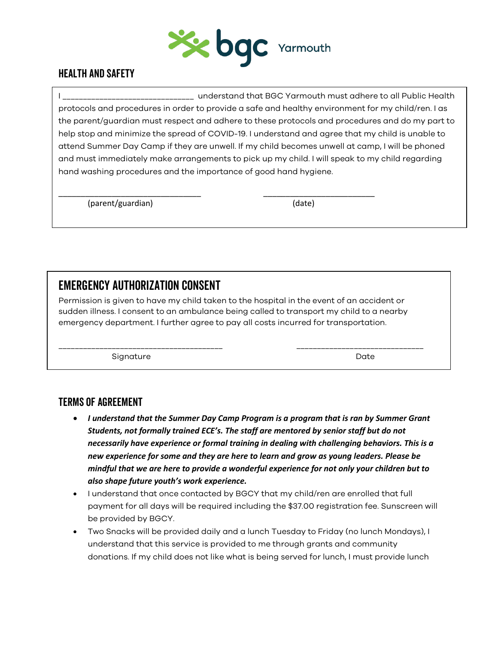

## Health and Safety

I \_\_\_\_\_\_\_\_\_\_\_\_\_\_\_\_\_\_\_\_\_\_\_\_\_\_\_\_\_\_\_\_ understand that BGC Yarmouth must adhere to all Public Health protocols and procedures in order to provide a safe and healthy environment for my child/ren. I as the parent/guardian must respect and adhere to these protocols and procedures and do my part to help stop and minimize the spread of COVID-19. I understand and agree that my child is unable to attend Summer Day Camp if they are unwell. If my child becomes unwell at camp, I will be phoned and must immediately make arrangements to pick up my child. I will speak to my child regarding hand washing procedures and the importance of good hand hygiene.

(parent/guardian) (date)

# emergency authorization consent

Permission is given to have my child taken to the hospital in the event of an accident or sudden illness. I consent to an ambulance being called to transport my child to a nearby emergency department. I further agree to pay all costs incurred for transportation.

\_\_\_\_\_\_\_\_\_\_\_\_\_\_\_\_\_\_\_\_\_\_\_\_\_\_\_\_\_\_\_\_ \_\_\_\_\_\_\_\_\_\_\_\_\_\_\_\_\_\_\_\_\_\_\_\_\_

\_\_\_\_\_\_\_\_\_\_\_\_\_\_\_\_\_\_\_\_\_\_\_\_\_\_\_\_\_\_\_\_\_\_\_\_\_\_\_\_ \_\_\_\_\_\_\_\_\_\_\_\_\_\_\_\_\_\_\_\_\_\_\_\_\_\_\_\_\_\_\_

Signature Date

## Terms of Agreement

- *I understand that the Summer Day Camp Program is a program that is ran by Summer Grant Students, not formally trained ECE's. The staff are mentored by senior staff but do not necessarily have experience or formal training in dealing with challenging behaviors. This is a new experience for some and they are here to learn and grow as young leaders. Please be mindful that we are here to provide a wonderful experience for not only your children but to also shape future youth's work experience.*
- I understand that once contacted by BGCY that my child/ren are enrolled that full payment for all days will be required including the \$37.00 registration fee. Sunscreen will be provided by BGCY.
- Two Snacks will be provided daily and a lunch Tuesday to Friday (no lunch Mondays), I understand that this service is provided to me through grants and community donations. If my child does not like what is being served for lunch, I must provide lunch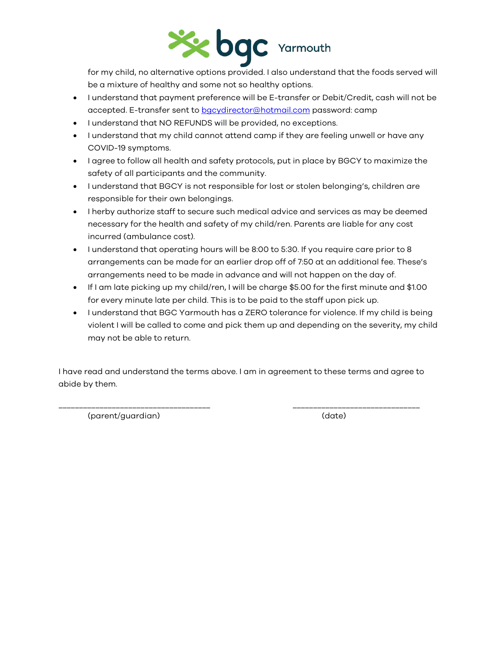

for my child, no alternative options provided. I also understand that the foods served will be a mixture of healthy and some not so healthy options.

- I understand that payment preference will be E-transfer or Debit/Credit, cash will not be accepted. E-transfer sent to [bgcydirector@hotmail.com](mailto:bgcydirector@hotmail.com) password: camp
- I understand that NO REFUNDS will be provided, no exceptions.
- I understand that my child cannot attend camp if they are feeling unwell or have any COVID-19 symptoms.
- I agree to follow all health and safety protocols, put in place by BGCY to maximize the safety of all participants and the community.
- I understand that BGCY is not responsible for lost or stolen belonging's, children are responsible for their own belongings.
- I herby authorize staff to secure such medical advice and services as may be deemed necessary for the health and safety of my child/ren. Parents are liable for any cost incurred (ambulance cost).
- I understand that operating hours will be 8:00 to 5:30. If you require care prior to 8 arrangements can be made for an earlier drop off of 7:50 at an additional fee. These's arrangements need to be made in advance and will not happen on the day of.
- If I am late picking up my child/ren, I will be charge \$5.00 for the first minute and \$1.00 for every minute late per child. This is to be paid to the staff upon pick up.
- I understand that BGC Yarmouth has a ZERO tolerance for violence. If my child is being violent I will be called to come and pick them up and depending on the severity, my child may not be able to return.

I have read and understand the terms above. I am in agreement to these terms and agree to abide by them.

\_\_\_\_\_\_\_\_\_\_\_\_\_\_\_\_\_\_\_\_\_\_\_\_\_\_\_\_\_\_\_\_\_\_\_\_\_ \_\_\_\_\_\_\_\_\_\_\_\_\_\_\_\_\_\_\_\_\_\_\_\_\_\_\_\_\_\_\_

(parent/guardian) (date)